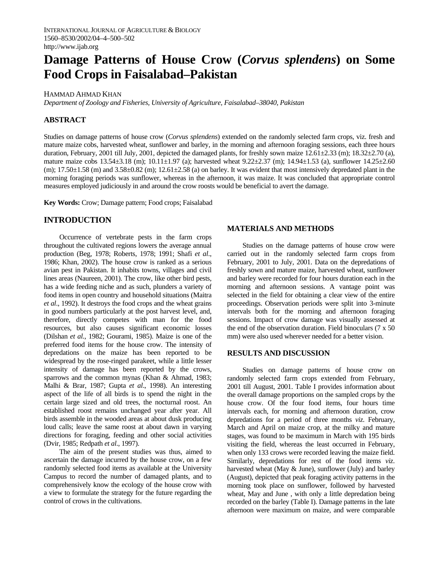# **Damage Patterns of House Crow (***Corvus splendens***) on Some Food Crops in Faisalabad–Pakistan**

#### HAMMAD AHMAD KHAN

*Department of Zoology and Fisheries, University of Agriculture, Faisalabad–38040, Pakistan* 

## **ABSTRACT**

Studies on damage patterns of house crow (*Corvus splendens*) extended on the randomly selected farm crops, viz. fresh and mature maize cobs, harvested wheat, sunflower and barley, in the morning and afternoon foraging sessions, each three hours duration, February, 2001 till July, 2001, depicted the damaged plants, for freshly sown maize  $12.61\pm2.33$  (m);  $18.32\pm2.70$  (a), mature maize cobs 13.54±3.18 (m); 10.11±1.97 (a); harvested wheat 9.22±2.37 (m); 14.94±1.53 (a), sunflower 14.25±2.60 (m);  $17.50\pm1.58$  (m) and  $3.58\pm0.82$  (m);  $12.61\pm2.58$  (a) on barley. It was evident that most intensively depredated plant in the morning foraging periods was sunflower, whereas in the afternoon, it was maize. It was concluded that appropriate control measures employed judiciously in and around the crow roosts would be beneficial to avert the damage.

**Key Words:** Crow; Damage pattern; Food crops; Faisalabad

## **INTRODUCTION**

Occurrence of vertebrate pests in the farm crops throughout the cultivated regions lowers the average annual production (Beg, 1978; Roberts, 1978; 1991; Shafi *et al*., 1986; Khan, 2002). The house crow is ranked as a serious avian pest in Pakistan. It inhabits towns, villages and civil lines areas (Naureen, 2001). The crow, like other bird pests, has a wide feeding niche and as such, plunders a variety of food items in open country and household situations (Maitra *et al*., 1992). It destroys the food crops and the wheat grains in good numbers particularly at the post harvest level, and, therefore, directly competes with man for the food resources, but also causes significant economic losses (Dilshan *et al.*, 1982; Gourami, 1985). Maize is one of the preferred food items for the house crow. The intensity of depredations on the maize has been reported to be widespread by the rose-ringed parakeet, while a little lesser intensity of damage has been reported by the crows, sparrows and the common mynas (Khan & Ahmad, 1983; Malhi & Brar, 1987; Gupta *et al*., 1998). An interesting aspect of the life of all birds is to spend the night in the certain large sized and old trees, the nocturnal roost. An established roost remains unchanged year after year. All birds assemble in the wooded areas at about dusk producing loud calls; leave the same roost at about dawn in varying directions for foraging, feeding and other social activities (Dvir, 1985; Redpath *et al*., 1997).

The aim of the present studies was thus, aimed to ascertain the damage incurred by the house crow, on a few randomly selected food items as available at the University Campus to record the number of damaged plants, and to comprehensively know the ecology of the house crow with a view to formulate the strategy for the future regarding the control of crows in the cultivations.

### **MATERIALS AND METHODS**

Studies on the damage patterns of house crow were carried out in the randomly selected farm crops from February, 2001 to July, 2001. Data on the depredations of freshly sown and mature maize, harvested wheat, sunflower and barley were recorded for four hours duration each in the morning and afternoon sessions. A vantage point was selected in the field for obtaining a clear view of the entire proceedings. Observation periods were split into 3-minute intervals both for the morning and afternoon foraging sessions. Impact of crow damage was visually assessed at the end of the observation duration. Field binoculars (7 x 50 mm) were also used wherever needed for a better vision.

#### **RESULTS AND DISCUSSION**

Studies on damage patterns of house crow on randomly selected farm crops extended from February, 2001 till August, 2001. Table I provides information about the overall damage proportions on the sampled crops by the house crow. Of the four food items, four hours time intervals each, for morning and afternoon duration, crow depredations for a period of three months *viz*. February, March and April on maize crop, at the milky and mature stages, was found to be maximum in March with 195 birds visiting the field, whereas the least occurred in February, when only 133 crows were recorded leaving the maize field. Similarly, depredations for rest of the food items *viz*. harvested wheat (May & June), sunflower (July) and barley (August), depicted that peak foraging activity patterns in the morning took place on sunflower, followed by harvested wheat, May and June , with only a little depredation being recorded on the barley (Table I). Damage patterns in the late afternoon were maximum on maize, and were comparable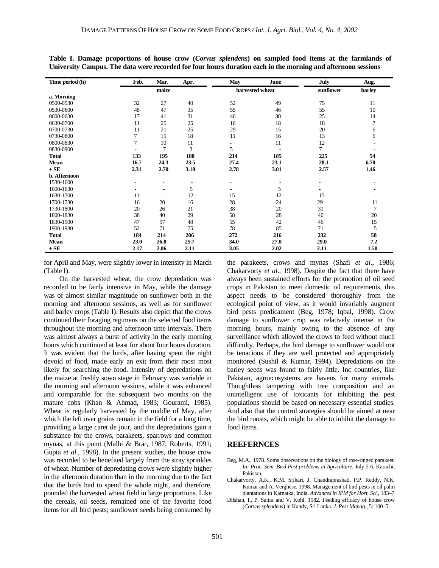| Time period (h) | Feb.           | Mar.                     | Apr.            | May  | June      | <b>July</b> | Aug. |
|-----------------|----------------|--------------------------|-----------------|------|-----------|-------------|------|
|                 | maize          |                          | harvested wheat |      | sunflower | barley      |      |
| a. Morning      |                |                          |                 |      |           |             |      |
| 0500-0530       | 32             | 27                       | 40              | 52   | 49        | 75          | 11   |
| 0530-0600       | 48             | 47                       | 35              | 55   | 46        | 55          | 10   |
| 0600-0630       | 17             | 41                       | 31              | 46   | 30        | 25          | 14   |
| 0630-0700       | 11             | 25                       | 25              | 16   | 18        | 18          | 7    |
| 0700-0730       | 11             | 21                       | 25              | 29   | 15        | 20          | 6    |
| 0730-0800       |                | 15                       | 18              | 11   | 16        | 13          | 6    |
| 0800-0830       | $\overline{7}$ | 10                       | 11              |      | 11        | 12          |      |
| 0830-0900       |                | 7                        | 3               | 5    |           | 7           |      |
| <b>Total</b>    | 133            | 195                      | 188             | 214  | 185       | 225         | 54   |
| Mean            | 16.7           | 24.3                     | 23.5            | 27.4 | 23.1      | 28.1        | 6.70 |
| $\pm$ SE        | 2.31           | 2.70                     | 3.18            | 2.78 | 3.01      | 2.57        | 1.46 |
| b. Afternoon    |                |                          |                 |      |           |             |      |
| 1530-1600       |                | ٠                        | ۰               |      |           | ۰           |      |
| 1600-1630       |                | ۰                        | 5               |      | 5         |             |      |
| 1630-1700       | 11             | $\overline{\phantom{a}}$ | 12              | 15   | 12        | 15          |      |
| 1700-1730       | 16             | 20                       | 16              | 28   | 24        | 29          | 11   |
| 1730-1800       | 20             | 26                       | 21              | 38   | 20        | 31          | 7    |
| 1800-1830       | 38             | 40                       | 29              | 58   | 28        | 40          | 20   |
| 1830-1900       | 47             | 57                       | 48              | 55   | 42        | 46          | 15   |
| 1900-1930       | 52             | 71                       | 75              | 78   | 85        | 71          | 5    |
| <b>Total</b>    | 184            | 214                      | 206             | 272  | 216       | 232         | 58   |
| Mean            | 23.0           | 26.8                     | 25.7            | 34.0 | 27.0      | 29.0        | 7.2  |
| $\pm$ SE        | 2.17           | 2.06                     | 2.11            | 3.05 | 2.02      | 2.11        | 1.50 |

**Table I. Damage proportions of house crow (***Corvus splendens***) on sampled food items at the farmlands of University Campus. The data were recorded for four hours duration each in the morning and afternoon sessions** 

for April and May, were slightly lower in intensity in March (Table I).

On the harvested wheat, the crow depredation was recorded to be fairly intensive in May, while the damage was of almost similar magnitude on sunflower both in the morning and afternoon sessions, as well as for sunflower and barley crops (Table I). Results also depict that the crows continued their foraging regimens on the selected food items throughout the morning and afternoon time intervals. There was almost always a burst of activity in the early morning hours which continued at least for about four hours duration. It was evident that the birds, after having spent the night devoid of food, made early an exit from their roost most likely for searching the food. Intensity of depredations on the maize at freshly sown stage in February was variable in the morning and afternoon sessions, while it was enhanced and comparable for the subsequent two months on the mature cobs (Khan & Ahmad, 1983; Gourami, 1985). Wheat is regularly harvested by the middle of May, after which the left over grains remain in the field for a long time, providing a large caret de jour, and the depredations gain a substance for the crows, parakeets, sparrows and common mynas, at this point (Malhi & Brar, 1987; Roberts, 1991; Gupta *et al*., 1998). In the present studies, the house crow was recorded to be benefited largely from the stray sprinkles of wheat. Number of depredating crows were slightly higher in the afternoon duration than in the morning due to the fact that the birds had to spend the whole night, and therefore, pounded the harvested wheat field in large proportions. Like the cereals, oil seeds, remained one of the favorite food items for all bird pests; sunflower seeds being consumed by

the parakeets, crows and mynas (Shafi *et al*., 1986; Chakarvorty *et al*., 1998). Despite the fact that there have always been sustained efforts for the promotion of oil seed crops in Pakistan to meet domestic oil requirements, this aspect needs to be considered thoroughly from the ecological point of view, as it would invariably augment bird pests predicament (Beg, 1978; Iqbal, 1998). Crow damage to sunflower crop was relatively intense in the morning hours, mainly owing to the absence of any surveillance which allowed the crows to feed without much difficulty. Perhaps, the bird damage to sunflower would not be tenacious if they are well protected and appropriately monitored (Sushil & Kumar, 1994). Depredations on the barley seeds was found to fairly little. Inc countries, like Pakistan, agroecosystems are havens for many animals. Thoughtless tampering with tree composition and an unintelligent use of toxicants for inhibiting the pest populations should be based on necessary essential studies. And also that the control strategies should be aimed at near the bird roosts, which might be able to inhibit the damage to food items.

#### **REEFERNCES**

- Beg, M.A., 1978. Some observations on the biology of rose-ringed parakeet. *In: Proc. Sem. Bird Pest problems in Agriculture*, July 5-6, Karachi, Pakistan.
- Chakarvorty, A.K., K.M. Srihari, J. Chandraprashad, P.P. Reddy, N.K. Kumar and A. Verghese, 1998. Management of bird pests in oil palm plantations in Karnatka, India. *Advances in IPM for Hort. Sci.,* 183–7
- Dilshan, I., P. Saitra and V. Kohl, 1982. Feeding efficacy of house crow (*Corvus splendens*) in Kandy, Sri Lanka. *J. Pest Manag.*, 5: 100–5.